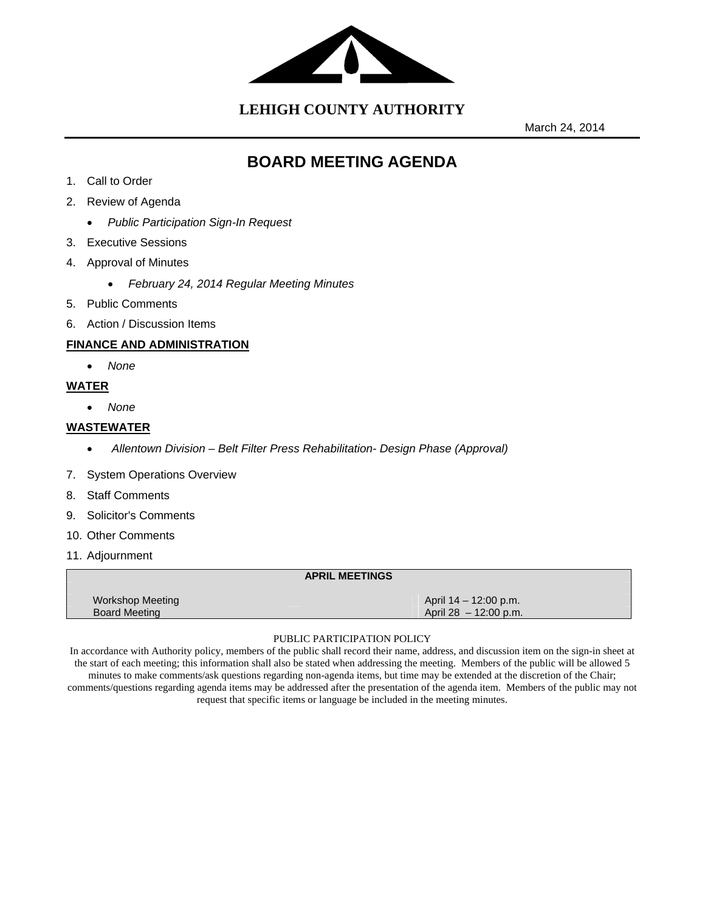

**LEHIGH COUNTY AUTHORITY**

March 24, 2014

# **BOARD MEETING AGENDA**

- 1. Call to Order
- 2. Review of Agenda
	- *Public Participation Sign-In Request*
- 3. Executive Sessions
- 4. Approval of Minutes
	- *February 24, 2014 Regular Meeting Minutes*
- 5. Public Comments
- 6. Action / Discussion Items

#### **FINANCE AND ADMINISTRATION**

*None* 

## **WATER**

*None* 

#### **WASTEWATER**

- *Allentown Division Belt Filter Press Rehabilitation- Design Phase (Approval)*
- 7. System Operations Overview
- 8. Staff Comments
- 9. Solicitor's Comments
- 10. Other Comments
- 11. Adjournment

#### **APRIL MEETINGS**

| Workshop Meeting     | April 14 – 12:00 p.m.   |
|----------------------|-------------------------|
| <b>Board Meeting</b> | April $28 - 12:00$ p.m. |
|                      |                         |

#### PUBLIC PARTICIPATION POLICY

In accordance with Authority policy, members of the public shall record their name, address, and discussion item on the sign-in sheet at the start of each meeting; this information shall also be stated when addressing the meeting. Members of the public will be allowed 5 minutes to make comments/ask questions regarding non-agenda items, but time may be extended at the discretion of the Chair; comments/questions regarding agenda items may be addressed after the presentation of the agenda item. Members of the public may not request that specific items or language be included in the meeting minutes.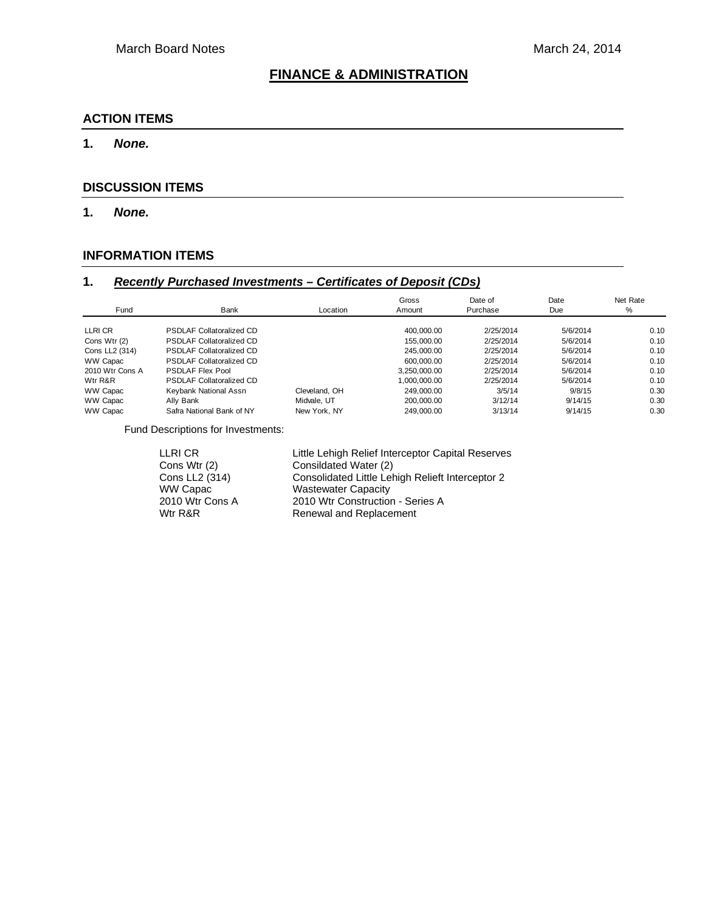# **FINANCE & ADMINISTRATION**

#### **ACTION ITEMS**

#### **1.** *None.*

#### **DISCUSSION ITEMS**

**1.** *None.* 

## **INFORMATION ITEMS**

## **1.** *Recently Purchased Investments – Certificates of Deposit (CDs)*

| Fund            | Bank                            | Location      | Gross<br>Amount | Date of<br>Purchase | Date<br>Due | Net Rate<br>% |
|-----------------|---------------------------------|---------------|-----------------|---------------------|-------------|---------------|
| LLRI CR         | <b>PSDLAF Collatoralized CD</b> |               | 400.000.00      | 2/25/2014           | 5/6/2014    | 0.10          |
| Cons Wtr (2)    | <b>PSDLAF Collatoralized CD</b> |               | 155,000,00      | 2/25/2014           | 5/6/2014    | 0.10          |
| Cons LL2 (314)  | <b>PSDLAF Collatoralized CD</b> |               | 245.000.00      | 2/25/2014           | 5/6/2014    | 0.10          |
| WW Capac        | <b>PSDLAF Collatoralized CD</b> |               | 600.000.00      | 2/25/2014           | 5/6/2014    | 0.10          |
| 2010 Wtr Cons A | <b>PSDLAF Flex Pool</b>         |               | 3.250.000.00    | 2/25/2014           | 5/6/2014    | 0.10          |
| Wtr R&R         | <b>PSDLAF Collatoralized CD</b> |               | 1.000.000.00    | 2/25/2014           | 5/6/2014    | 0.10          |
| WW Capac        | Keybank National Assn           | Cleveland, OH | 249.000.00      | 3/5/14              | 9/8/15      | 0.30          |
| WW Capac        | Ally Bank                       | Midvale, UT   | 200.000.00      | 3/12/14             | 9/14/15     | 0.30          |
| WW Capac        | Safra National Bank of NY       | New York, NY  | 249.000.00      | 3/13/14             | 9/14/15     | 0.30          |

Fund Descriptions for Investments:

| Little Lehigh Relief Interceptor Capital Reserves |
|---------------------------------------------------|
| Consildated Water (2)                             |
| Consolidated Little Lehigh Relieft Interceptor 2  |
| <b>Wastewater Capacity</b>                        |
| 2010 Wtr Construction - Series A                  |
| Renewal and Replacement                           |
|                                                   |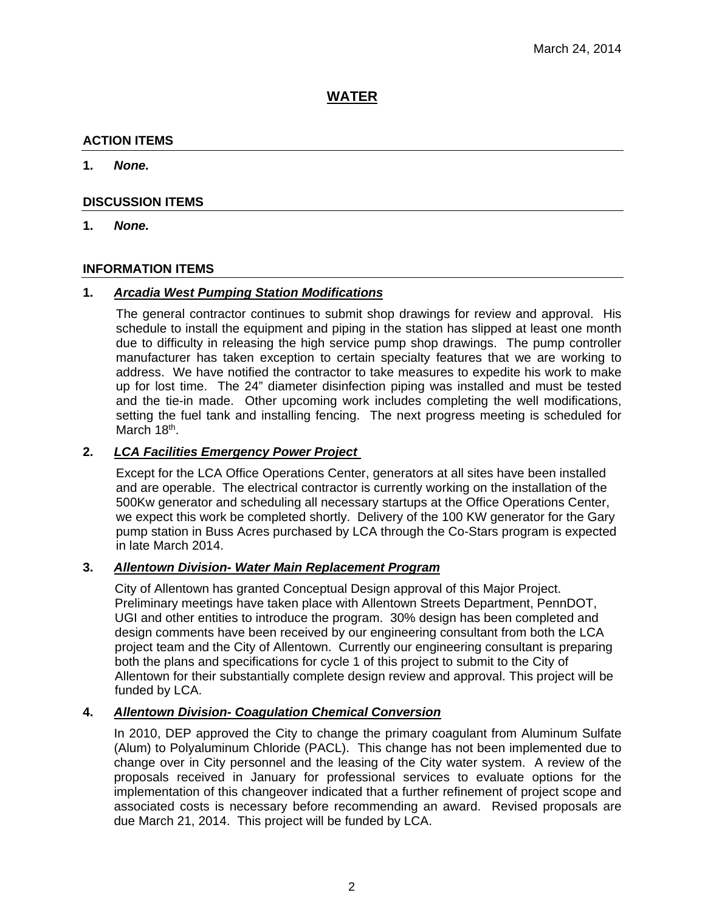## **WATER**

## **ACTION ITEMS**

#### **1.** *None.*

#### **DISCUSSION ITEMS**

**1.** *None.*

#### **INFORMATION ITEMS**

#### **1.** *Arcadia West Pumping Station Modifications*

The general contractor continues to submit shop drawings for review and approval. His schedule to install the equipment and piping in the station has slipped at least one month due to difficulty in releasing the high service pump shop drawings. The pump controller manufacturer has taken exception to certain specialty features that we are working to address. We have notified the contractor to take measures to expedite his work to make up for lost time. The 24" diameter disinfection piping was installed and must be tested and the tie-in made. Other upcoming work includes completing the well modifications, setting the fuel tank and installing fencing. The next progress meeting is scheduled for March 18<sup>th</sup>.

## **2.** *LCA Facilities Emergency Power Project*

Except for the LCA Office Operations Center, generators at all sites have been installed and are operable. The electrical contractor is currently working on the installation of the 500Kw generator and scheduling all necessary startups at the Office Operations Center, we expect this work be completed shortly. Delivery of the 100 KW generator for the Gary pump station in Buss Acres purchased by LCA through the Co-Stars program is expected in late March 2014.

#### **3.** *Allentown Division- Water Main Replacement Program*

City of Allentown has granted Conceptual Design approval of this Major Project. Preliminary meetings have taken place with Allentown Streets Department, PennDOT, UGI and other entities to introduce the program. 30% design has been completed and design comments have been received by our engineering consultant from both the LCA project team and the City of Allentown. Currently our engineering consultant is preparing both the plans and specifications for cycle 1 of this project to submit to the City of Allentown for their substantially complete design review and approval. This project will be funded by LCA.

## **4.** *Allentown Division- Coagulation Chemical Conversion*

In 2010, DEP approved the City to change the primary coagulant from Aluminum Sulfate (Alum) to Polyaluminum Chloride (PACL). This change has not been implemented due to change over in City personnel and the leasing of the City water system. A review of the proposals received in January for professional services to evaluate options for the implementation of this changeover indicated that a further refinement of project scope and associated costs is necessary before recommending an award. Revised proposals are due March 21, 2014. This project will be funded by LCA.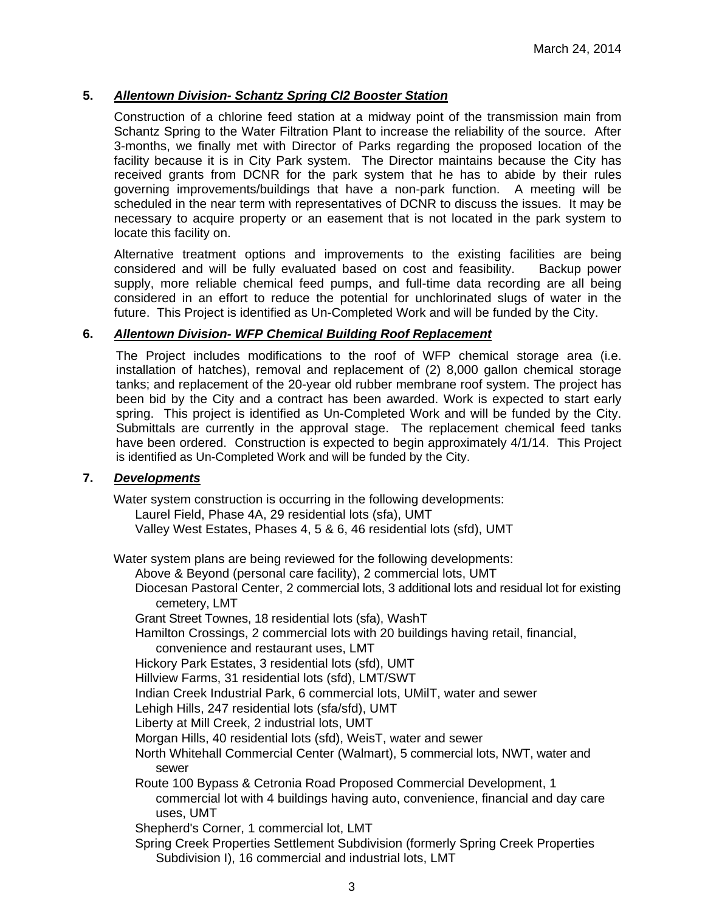### **5.** *Allentown Division- Schantz Spring Cl2 Booster Station*

Construction of a chlorine feed station at a midway point of the transmission main from Schantz Spring to the Water Filtration Plant to increase the reliability of the source. After 3-months, we finally met with Director of Parks regarding the proposed location of the facility because it is in City Park system. The Director maintains because the City has received grants from DCNR for the park system that he has to abide by their rules governing improvements/buildings that have a non-park function. A meeting will be scheduled in the near term with representatives of DCNR to discuss the issues. It may be necessary to acquire property or an easement that is not located in the park system to locate this facility on.

Alternative treatment options and improvements to the existing facilities are being considered and will be fully evaluated based on cost and feasibility. Backup power supply, more reliable chemical feed pumps, and full-time data recording are all being considered in an effort to reduce the potential for unchlorinated slugs of water in the future. This Project is identified as Un-Completed Work and will be funded by the City.

#### **6.** *Allentown Division- WFP Chemical Building Roof Replacement*

The Project includes modifications to the roof of WFP chemical storage area (i.e. installation of hatches), removal and replacement of (2) 8,000 gallon chemical storage tanks; and replacement of the 20-year old rubber membrane roof system. The project has been bid by the City and a contract has been awarded. Work is expected to start early spring. This project is identified as Un-Completed Work and will be funded by the City. Submittals are currently in the approval stage. The replacement chemical feed tanks have been ordered. Construction is expected to begin approximately 4/1/14. This Project is identified as Un-Completed Work and will be funded by the City.

#### **7.** *Developments*

Water system construction is occurring in the following developments:

Laurel Field, Phase 4A, 29 residential lots (sfa), UMT

Valley West Estates, Phases 4, 5 & 6, 46 residential lots (sfd), UMT

Water system plans are being reviewed for the following developments:

Above & Beyond (personal care facility), 2 commercial lots, UMT

Diocesan Pastoral Center, 2 commercial lots, 3 additional lots and residual lot for existing cemetery, LMT

Grant Street Townes, 18 residential lots (sfa), WashT

Hamilton Crossings, 2 commercial lots with 20 buildings having retail, financial, convenience and restaurant uses, LMT

Hickory Park Estates, 3 residential lots (sfd), UMT

Hillview Farms, 31 residential lots (sfd), LMT/SWT

Indian Creek Industrial Park, 6 commercial lots, UMilT, water and sewer

Lehigh Hills, 247 residential lots (sfa/sfd), UMT

Liberty at Mill Creek, 2 industrial lots, UMT

Morgan Hills, 40 residential lots (sfd), WeisT, water and sewer

North Whitehall Commercial Center (Walmart), 5 commercial lots, NWT, water and sewer

Route 100 Bypass & Cetronia Road Proposed Commercial Development, 1 commercial lot with 4 buildings having auto, convenience, financial and day care uses, UMT

Shepherd's Corner, 1 commercial lot, LMT

Spring Creek Properties Settlement Subdivision (formerly Spring Creek Properties Subdivision I), 16 commercial and industrial lots, LMT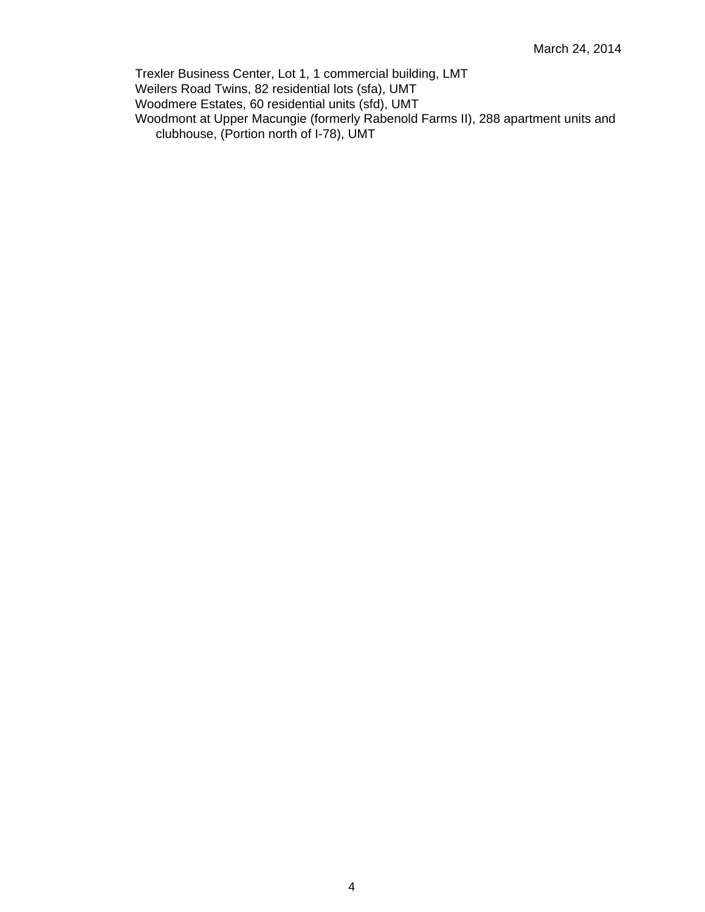Trexler Business Center, Lot 1, 1 commercial building, LMT Weilers Road Twins, 82 residential lots (sfa), UMT Woodmere Estates, 60 residential units (sfd), UMT Woodmont at Upper Macungie (formerly Rabenold Farms II), 288 apartment units and clubhouse, (Portion north of I-78), UMT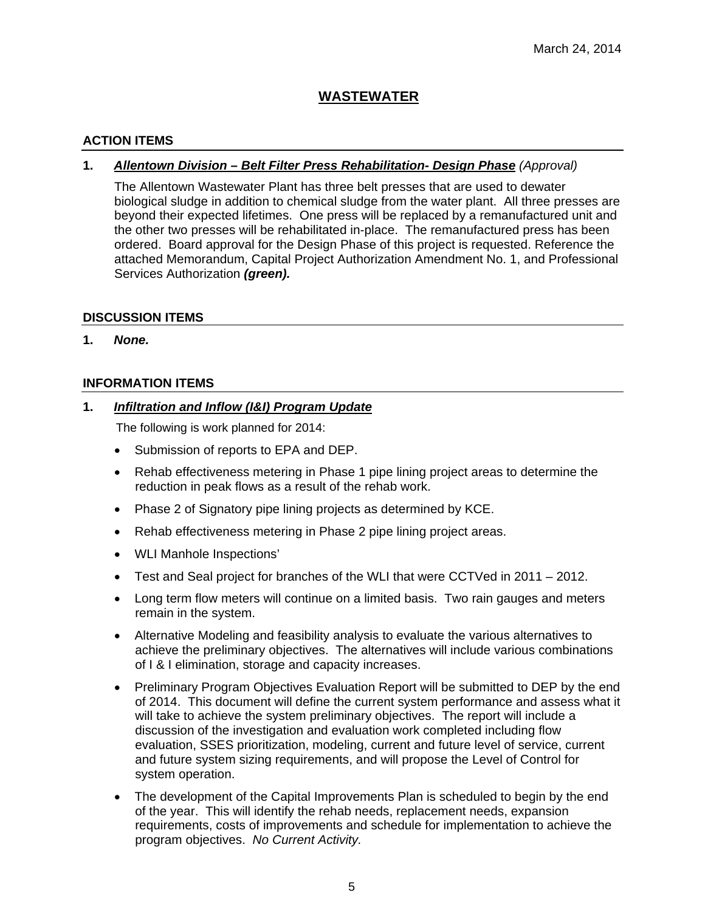## **WASTEWATER**

## **ACTION ITEMS**

## **1.** *Allentown Division – Belt Filter Press Rehabilitation- Design Phase (Approval)*

The Allentown Wastewater Plant has three belt presses that are used to dewater biological sludge in addition to chemical sludge from the water plant. All three presses are beyond their expected lifetimes. One press will be replaced by a remanufactured unit and the other two presses will be rehabilitated in-place. The remanufactured press has been ordered. Board approval for the Design Phase of this project is requested. Reference the attached Memorandum, Capital Project Authorization Amendment No. 1, and Professional Services Authorization *(green)*.

#### **DISCUSSION ITEMS**

**1.** *None.*

#### **INFORMATION ITEMS**

#### **1.** *Infiltration and Inflow (I&I) Program Update*

The following is work planned for 2014:

- Submission of reports to EPA and DEP.
- Rehab effectiveness metering in Phase 1 pipe lining project areas to determine the reduction in peak flows as a result of the rehab work.
- Phase 2 of Signatory pipe lining projects as determined by KCE.
- Rehab effectiveness metering in Phase 2 pipe lining project areas.
- WLI Manhole Inspections'
- Test and Seal project for branches of the WLI that were CCTVed in 2011 2012.
- Long term flow meters will continue on a limited basis. Two rain gauges and meters remain in the system.
- Alternative Modeling and feasibility analysis to evaluate the various alternatives to achieve the preliminary objectives. The alternatives will include various combinations of I & I elimination, storage and capacity increases.
- Preliminary Program Objectives Evaluation Report will be submitted to DEP by the end of 2014. This document will define the current system performance and assess what it will take to achieve the system preliminary objectives. The report will include a discussion of the investigation and evaluation work completed including flow evaluation, SSES prioritization, modeling, current and future level of service, current and future system sizing requirements, and will propose the Level of Control for system operation.
- The development of the Capital Improvements Plan is scheduled to begin by the end of the year. This will identify the rehab needs, replacement needs, expansion requirements, costs of improvements and schedule for implementation to achieve the program objectives. *No Current Activity.*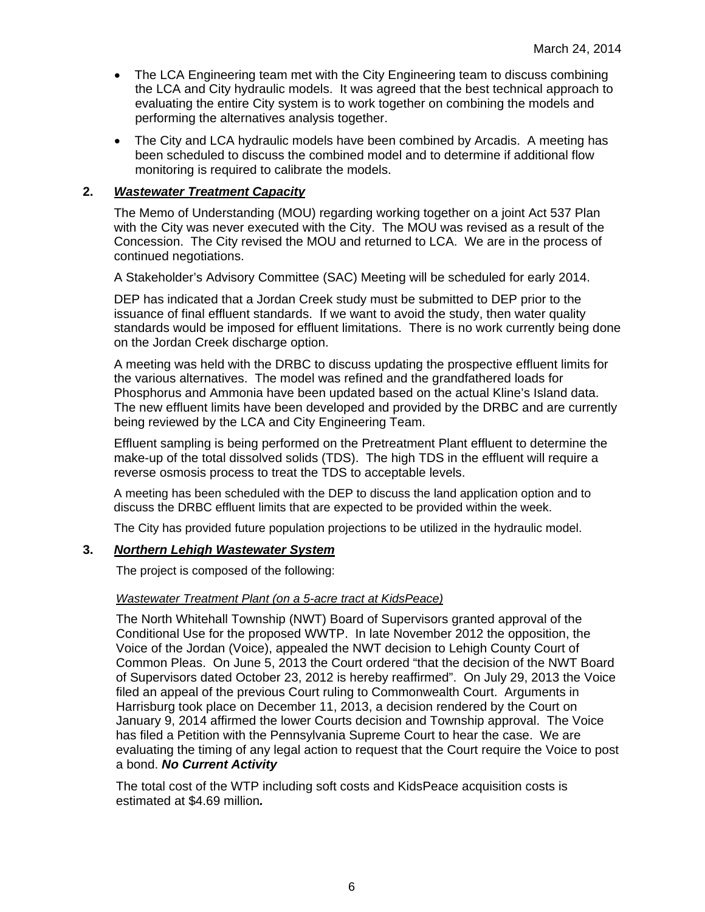- The LCA Engineering team met with the City Engineering team to discuss combining the LCA and City hydraulic models. It was agreed that the best technical approach to evaluating the entire City system is to work together on combining the models and performing the alternatives analysis together.
- The City and LCA hydraulic models have been combined by Arcadis. A meeting has been scheduled to discuss the combined model and to determine if additional flow monitoring is required to calibrate the models.

### **2.** *Wastewater Treatment Capacity*

The Memo of Understanding (MOU) regarding working together on a joint Act 537 Plan with the City was never executed with the City. The MOU was revised as a result of the Concession. The City revised the MOU and returned to LCA. We are in the process of continued negotiations.

A Stakeholder's Advisory Committee (SAC) Meeting will be scheduled for early 2014.

DEP has indicated that a Jordan Creek study must be submitted to DEP prior to the issuance of final effluent standards. If we want to avoid the study, then water quality standards would be imposed for effluent limitations. There is no work currently being done on the Jordan Creek discharge option.

A meeting was held with the DRBC to discuss updating the prospective effluent limits for the various alternatives. The model was refined and the grandfathered loads for Phosphorus and Ammonia have been updated based on the actual Kline's Island data. The new effluent limits have been developed and provided by the DRBC and are currently being reviewed by the LCA and City Engineering Team.

Effluent sampling is being performed on the Pretreatment Plant effluent to determine the make-up of the total dissolved solids (TDS). The high TDS in the effluent will require a reverse osmosis process to treat the TDS to acceptable levels.

A meeting has been scheduled with the DEP to discuss the land application option and to discuss the DRBC effluent limits that are expected to be provided within the week.

The City has provided future population projections to be utilized in the hydraulic model.

#### **3.** *Northern Lehigh Wastewater System*

The project is composed of the following:

#### *Wastewater Treatment Plant (on a 5-acre tract at KidsPeace)*

The North Whitehall Township (NWT) Board of Supervisors granted approval of the Conditional Use for the proposed WWTP. In late November 2012 the opposition, the Voice of the Jordan (Voice), appealed the NWT decision to Lehigh County Court of Common Pleas. On June 5, 2013 the Court ordered "that the decision of the NWT Board of Supervisors dated October 23, 2012 is hereby reaffirmed". On July 29, 2013 the Voice filed an appeal of the previous Court ruling to Commonwealth Court. Arguments in Harrisburg took place on December 11, 2013, a decision rendered by the Court on January 9, 2014 affirmed the lower Courts decision and Township approval. The Voice has filed a Petition with the Pennsylvania Supreme Court to hear the case. We are evaluating the timing of any legal action to request that the Court require the Voice to post a bond. *No Current Activity*

The total cost of the WTP including soft costs and KidsPeace acquisition costs is estimated at \$4.69 million*.*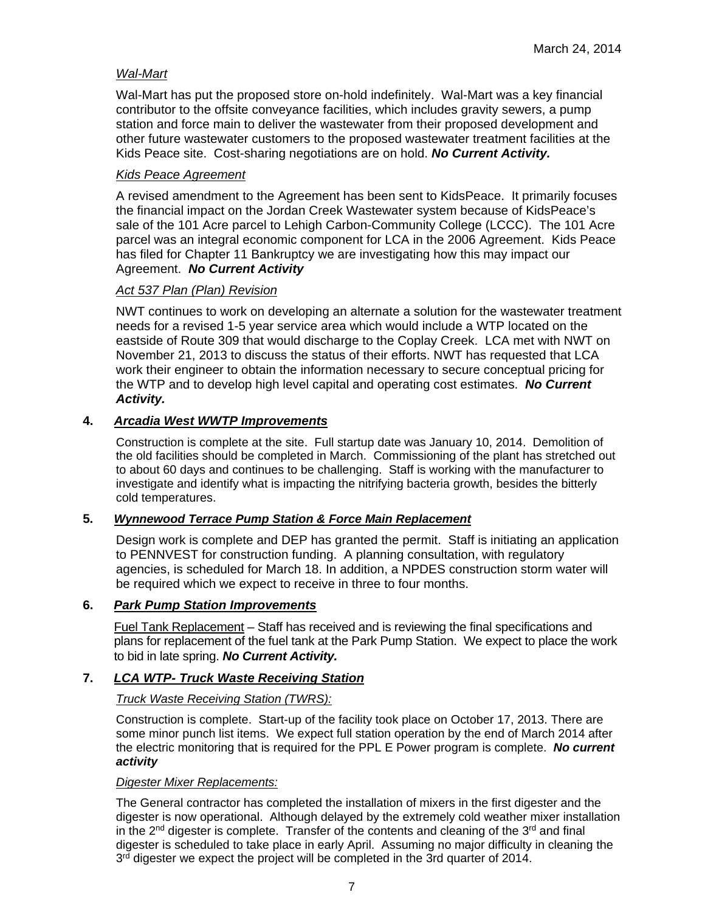### *Wal-Mart*

Wal-Mart has put the proposed store on-hold indefinitely. Wal-Mart was a key financial contributor to the offsite conveyance facilities, which includes gravity sewers, a pump station and force main to deliver the wastewater from their proposed development and other future wastewater customers to the proposed wastewater treatment facilities at the Kids Peace site. Cost-sharing negotiations are on hold. *No Current Activity.*

#### *Kids Peace Agreement*

A revised amendment to the Agreement has been sent to KidsPeace. It primarily focuses the financial impact on the Jordan Creek Wastewater system because of KidsPeace's sale of the 101 Acre parcel to Lehigh Carbon-Community College (LCCC). The 101 Acre parcel was an integral economic component for LCA in the 2006 Agreement. Kids Peace has filed for Chapter 11 Bankruptcy we are investigating how this may impact our Agreement. *No Current Activity*

#### *Act 537 Plan (Plan) Revision*

NWT continues to work on developing an alternate a solution for the wastewater treatment needs for a revised 1-5 year service area which would include a WTP located on the eastside of Route 309 that would discharge to the Coplay Creek. LCA met with NWT on November 21, 2013 to discuss the status of their efforts. NWT has requested that LCA work their engineer to obtain the information necessary to secure conceptual pricing for the WTP and to develop high level capital and operating cost estimates. *No Current Activity.*

## **4.** *Arcadia West WWTP Improvements*

Construction is complete at the site. Full startup date was January 10, 2014. Demolition of the old facilities should be completed in March. Commissioning of the plant has stretched out to about 60 days and continues to be challenging. Staff is working with the manufacturer to investigate and identify what is impacting the nitrifying bacteria growth, besides the bitterly cold temperatures.

## **5.** *Wynnewood Terrace Pump Station & Force Main Replacement*

Design work is complete and DEP has granted the permit. Staff is initiating an application to PENNVEST for construction funding. A planning consultation, with regulatory agencies, is scheduled for March 18. In addition, a NPDES construction storm water will be required which we expect to receive in three to four months.

## **6.** *Park Pump Station Improvements*

Fuel Tank Replacement – Staff has received and is reviewing the final specifications and plans for replacement of the fuel tank at the Park Pump Station. We expect to place the work to bid in late spring. *No Current Activity.* 

## **7.** *LCA WTP- Truck Waste Receiving Station*

#### *Truck Waste Receiving Station (TWRS):*

Construction is complete. Start-up of the facility took place on October 17, 2013. There are some minor punch list items. We expect full station operation by the end of March 2014 after the electric monitoring that is required for the PPL E Power program is complete. *No current activity* 

#### *Digester Mixer Replacements:*

The General contractor has completed the installation of mixers in the first digester and the digester is now operational. Although delayed by the extremely cold weather mixer installation in the  $2^{nd}$  digester is complete. Transfer of the contents and cleaning of the  $3^{rd}$  and final digester is scheduled to take place in early April. Assuming no major difficulty in cleaning the 3<sup>rd</sup> digester we expect the project will be completed in the 3rd quarter of 2014.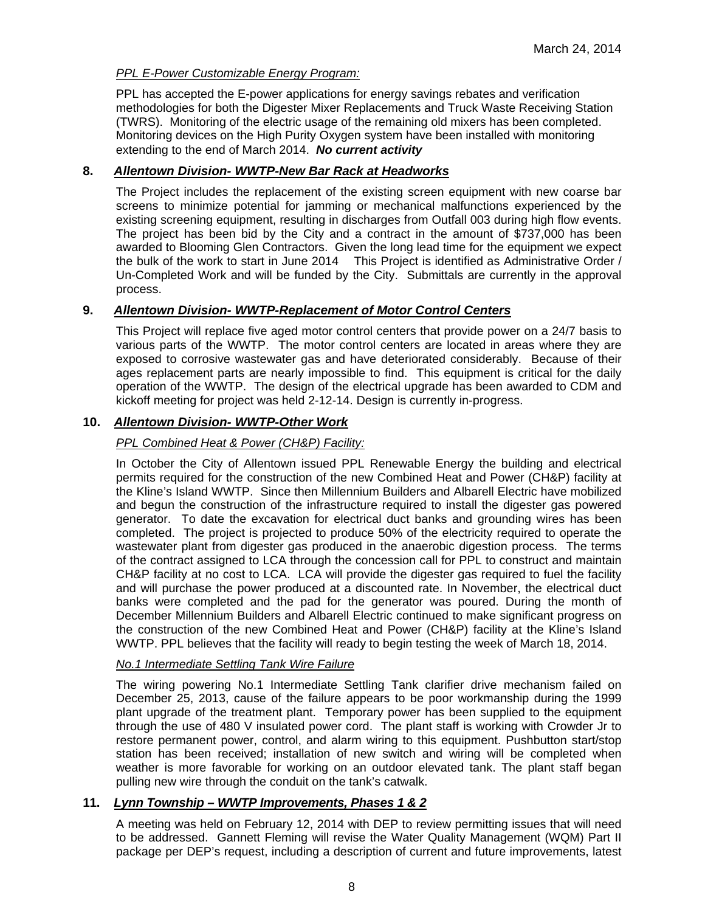### *PPL E-Power Customizable Energy Program:*

PPL has accepted the E-power applications for energy savings rebates and verification methodologies for both the Digester Mixer Replacements and Truck Waste Receiving Station (TWRS). Monitoring of the electric usage of the remaining old mixers has been completed. Monitoring devices on the High Purity Oxygen system have been installed with monitoring extending to the end of March 2014. *No current activity*

#### **8.** *Allentown Division- WWTP-New Bar Rack at Headworks*

The Project includes the replacement of the existing screen equipment with new coarse bar screens to minimize potential for jamming or mechanical malfunctions experienced by the existing screening equipment, resulting in discharges from Outfall 003 during high flow events. The project has been bid by the City and a contract in the amount of \$737,000 has been awarded to Blooming Glen Contractors. Given the long lead time for the equipment we expect the bulk of the work to start in June 2014 This Project is identified as Administrative Order / Un-Completed Work and will be funded by the City. Submittals are currently in the approval process.

#### **9.** *Allentown Division- WWTP-Replacement of Motor Control Centers*

This Project will replace five aged motor control centers that provide power on a 24/7 basis to various parts of the WWTP. The motor control centers are located in areas where they are exposed to corrosive wastewater gas and have deteriorated considerably. Because of their ages replacement parts are nearly impossible to find. This equipment is critical for the daily operation of the WWTP. The design of the electrical upgrade has been awarded to CDM and kickoff meeting for project was held 2-12-14. Design is currently in-progress.

## **10.** *Allentown Division- WWTP-Other Work*

## *PPL Combined Heat & Power (CH&P) Facility:*

In October the City of Allentown issued PPL Renewable Energy the building and electrical permits required for the construction of the new Combined Heat and Power (CH&P) facility at the Kline's Island WWTP. Since then Millennium Builders and Albarell Electric have mobilized and begun the construction of the infrastructure required to install the digester gas powered generator. To date the excavation for electrical duct banks and grounding wires has been completed. The project is projected to produce 50% of the electricity required to operate the wastewater plant from digester gas produced in the anaerobic digestion process. The terms of the contract assigned to LCA through the concession call for PPL to construct and maintain CH&P facility at no cost to LCA. LCA will provide the digester gas required to fuel the facility and will purchase the power produced at a discounted rate. In November, the electrical duct banks were completed and the pad for the generator was poured. During the month of December Millennium Builders and Albarell Electric continued to make significant progress on the construction of the new Combined Heat and Power (CH&P) facility at the Kline's Island WWTP. PPL believes that the facility will ready to begin testing the week of March 18, 2014.

#### *No.1 Intermediate Settling Tank Wire Failure*

The wiring powering No.1 Intermediate Settling Tank clarifier drive mechanism failed on December 25, 2013, cause of the failure appears to be poor workmanship during the 1999 plant upgrade of the treatment plant. Temporary power has been supplied to the equipment through the use of 480 V insulated power cord. The plant staff is working with Crowder Jr to restore permanent power, control, and alarm wiring to this equipment. Pushbutton start/stop station has been received; installation of new switch and wiring will be completed when weather is more favorable for working on an outdoor elevated tank. The plant staff began pulling new wire through the conduit on the tank's catwalk.

## **11.** *Lynn Township – WWTP Improvements, Phases 1 & 2*

A meeting was held on February 12, 2014 with DEP to review permitting issues that will need to be addressed. Gannett Fleming will revise the Water Quality Management (WQM) Part II package per DEP's request, including a description of current and future improvements, latest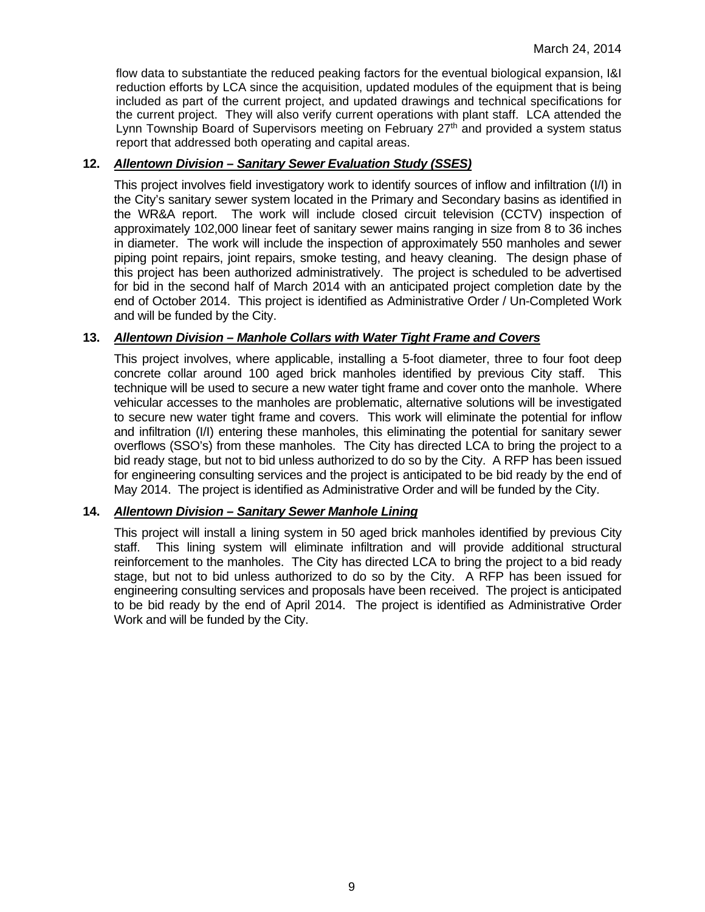flow data to substantiate the reduced peaking factors for the eventual biological expansion, I&I reduction efforts by LCA since the acquisition, updated modules of the equipment that is being included as part of the current project, and updated drawings and technical specifications for the current project. They will also verify current operations with plant staff. LCA attended the Lynn Township Board of Supervisors meeting on February  $27<sup>th</sup>$  and provided a system status report that addressed both operating and capital areas.

## **12.** *Allentown Division – Sanitary Sewer Evaluation Study (SSES)*

This project involves field investigatory work to identify sources of inflow and infiltration (I/I) in the City's sanitary sewer system located in the Primary and Secondary basins as identified in the WR&A report. The work will include closed circuit television (CCTV) inspection of approximately 102,000 linear feet of sanitary sewer mains ranging in size from 8 to 36 inches in diameter. The work will include the inspection of approximately 550 manholes and sewer piping point repairs, joint repairs, smoke testing, and heavy cleaning. The design phase of this project has been authorized administratively. The project is scheduled to be advertised for bid in the second half of March 2014 with an anticipated project completion date by the end of October 2014. This project is identified as Administrative Order / Un-Completed Work and will be funded by the City.

## **13.** *Allentown Division – Manhole Collars with Water Tight Frame and Covers*

This project involves, where applicable, installing a 5-foot diameter, three to four foot deep concrete collar around 100 aged brick manholes identified by previous City staff. This technique will be used to secure a new water tight frame and cover onto the manhole. Where vehicular accesses to the manholes are problematic, alternative solutions will be investigated to secure new water tight frame and covers. This work will eliminate the potential for inflow and infiltration (I/I) entering these manholes, this eliminating the potential for sanitary sewer overflows (SSO's) from these manholes. The City has directed LCA to bring the project to a bid ready stage, but not to bid unless authorized to do so by the City. A RFP has been issued for engineering consulting services and the project is anticipated to be bid ready by the end of May 2014. The project is identified as Administrative Order and will be funded by the City.

## **14.** *Allentown Division – Sanitary Sewer Manhole Lining*

This project will install a lining system in 50 aged brick manholes identified by previous City staff. This lining system will eliminate infiltration and will provide additional structural reinforcement to the manholes. The City has directed LCA to bring the project to a bid ready stage, but not to bid unless authorized to do so by the City. A RFP has been issued for engineering consulting services and proposals have been received. The project is anticipated to be bid ready by the end of April 2014. The project is identified as Administrative Order Work and will be funded by the City.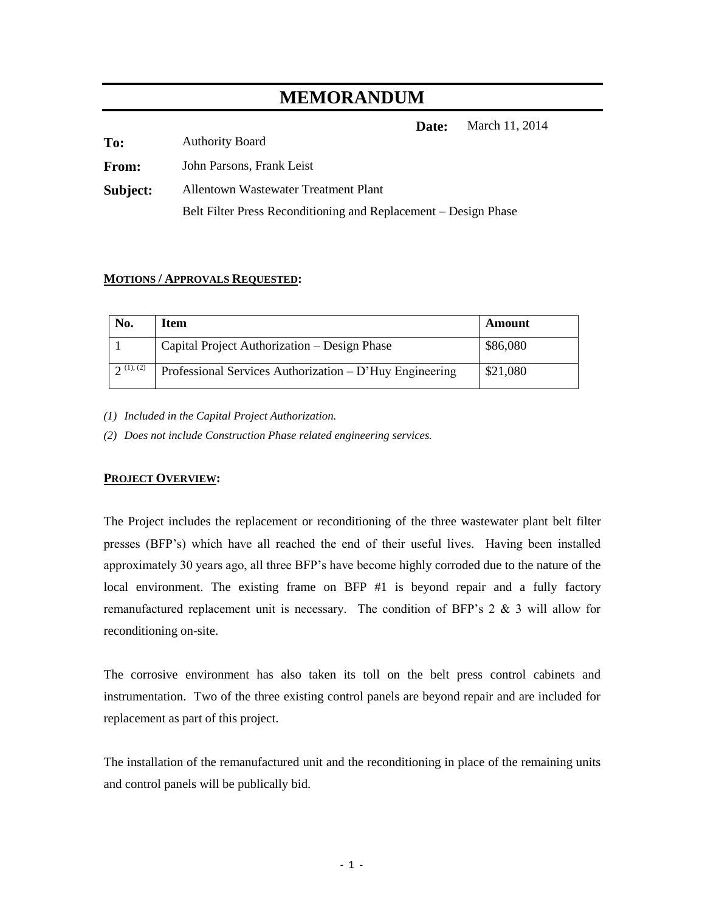# **MEMORANDUM**

**Date:** March 11, 2014

| To:          | <b>Authority Board</b>                                          |
|--------------|-----------------------------------------------------------------|
| <b>From:</b> | John Parsons, Frank Leist                                       |
| Subject:     | Allentown Wastewater Treatment Plant                            |
|              | Belt Filter Press Reconditioning and Replacement – Design Phase |

#### **MOTIONS / APPROVALS REQUESTED:**

| No.                    | Item                                                    | Amount   |
|------------------------|---------------------------------------------------------|----------|
|                        | Capital Project Authorization – Design Phase            | \$86,080 |
| $\mathfrak{D}(1), (2)$ | Professional Services Authorization – D'Huy Engineering | \$21,080 |

*(1) Included in the Capital Project Authorization.*

*(2) Does not include Construction Phase related engineering services.*

#### **PROJECT OVERVIEW:**

The Project includes the replacement or reconditioning of the three wastewater plant belt filter presses (BFP's) which have all reached the end of their useful lives. Having been installed approximately 30 years ago, all three BFP's have become highly corroded due to the nature of the local environment. The existing frame on BFP #1 is beyond repair and a fully factory remanufactured replacement unit is necessary. The condition of BFP's 2 & 3 will allow for reconditioning on-site.

The corrosive environment has also taken its toll on the belt press control cabinets and instrumentation. Two of the three existing control panels are beyond repair and are included for replacement as part of this project.

The installation of the remanufactured unit and the reconditioning in place of the remaining units and control panels will be publically bid.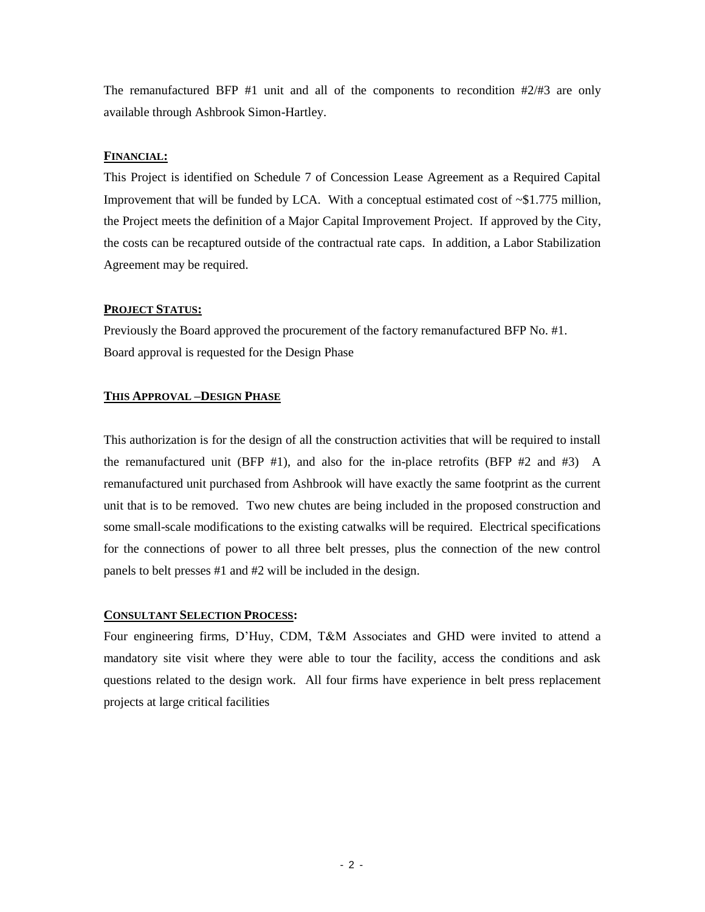The remanufactured BFP  $#1$  unit and all of the components to recondition  $#2/#3$  are only available through Ashbrook Simon-Hartley.

#### **FINANCIAL:**

This Project is identified on Schedule 7 of Concession Lease Agreement as a Required Capital Improvement that will be funded by LCA. With a conceptual estimated cost of  $\sim $1.775$  million, the Project meets the definition of a Major Capital Improvement Project. If approved by the City, the costs can be recaptured outside of the contractual rate caps. In addition, a Labor Stabilization Agreement may be required.

#### **PROJECT STATUS:**

Previously the Board approved the procurement of the factory remanufactured BFP No. #1. Board approval is requested for the Design Phase

#### **THIS APPROVAL –DESIGN PHASE**

This authorization is for the design of all the construction activities that will be required to install the remanufactured unit (BFP  $#1$ ), and also for the in-place retrofits (BFP  $#2$  and  $#3$ ) A remanufactured unit purchased from Ashbrook will have exactly the same footprint as the current unit that is to be removed. Two new chutes are being included in the proposed construction and some small-scale modifications to the existing catwalks will be required. Electrical specifications for the connections of power to all three belt presses, plus the connection of the new control panels to belt presses #1 and #2 will be included in the design.

#### **CONSULTANT SELECTION PROCESS:**

Four engineering firms, D'Huy, CDM, T&M Associates and GHD were invited to attend a mandatory site visit where they were able to tour the facility, access the conditions and ask questions related to the design work. All four firms have experience in belt press replacement projects at large critical facilities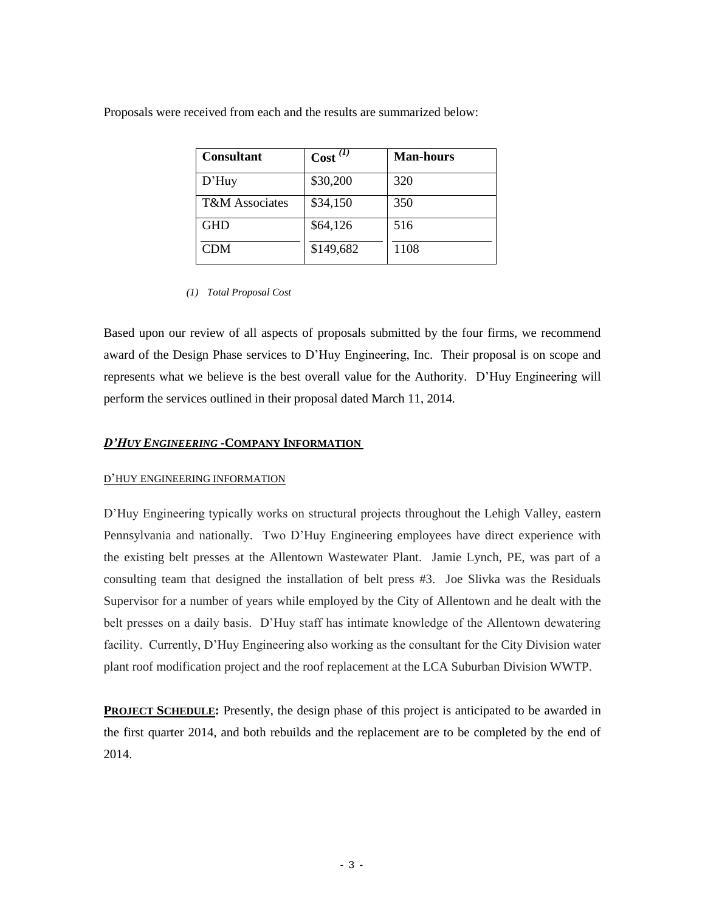Proposals were received from each and the results are summarized below:

| <b>Consultant</b>         | $\operatorname{Cost}^{(1)}$ | <b>Man-hours</b> |
|---------------------------|-----------------------------|------------------|
| $D'$ Huy                  | \$30,200                    | 320              |
| <b>T&amp;M</b> Associates | \$34,150                    | 350              |
| <b>GHD</b>                | \$64,126                    | 516              |
| <b>CDM</b>                | \$149,682                   | 1108             |

*(1) Total Proposal Cost*

Based upon our review of all aspects of proposals submitted by the four firms, we recommend award of the Design Phase services to D'Huy Engineering, Inc. Their proposal is on scope and represents what we believe is the best overall value for the Authority. D'Huy Engineering will perform the services outlined in their proposal dated March 11, 2014*.*

#### *D'HUY ENGINEERING* **-COMPANY INFORMATION**

#### D'HUY ENGINEERING INFORMATION

D'Huy Engineering typically works on structural projects throughout the Lehigh Valley, eastern Pennsylvania and nationally. Two D'Huy Engineering employees have direct experience with the existing belt presses at the Allentown Wastewater Plant. Jamie Lynch, PE, was part of a consulting team that designed the installation of belt press #3. Joe Slivka was the Residuals Supervisor for a number of years while employed by the City of Allentown and he dealt with the belt presses on a daily basis. D'Huy staff has intimate knowledge of the Allentown dewatering facility. Currently, D'Huy Engineering also working as the consultant for the City Division water plant roof modification project and the roof replacement at the LCA Suburban Division WWTP.

**PROJECT SCHEDULE:** Presently, the design phase of this project is anticipated to be awarded in the first quarter 2014, and both rebuilds and the replacement are to be completed by the end of 2014.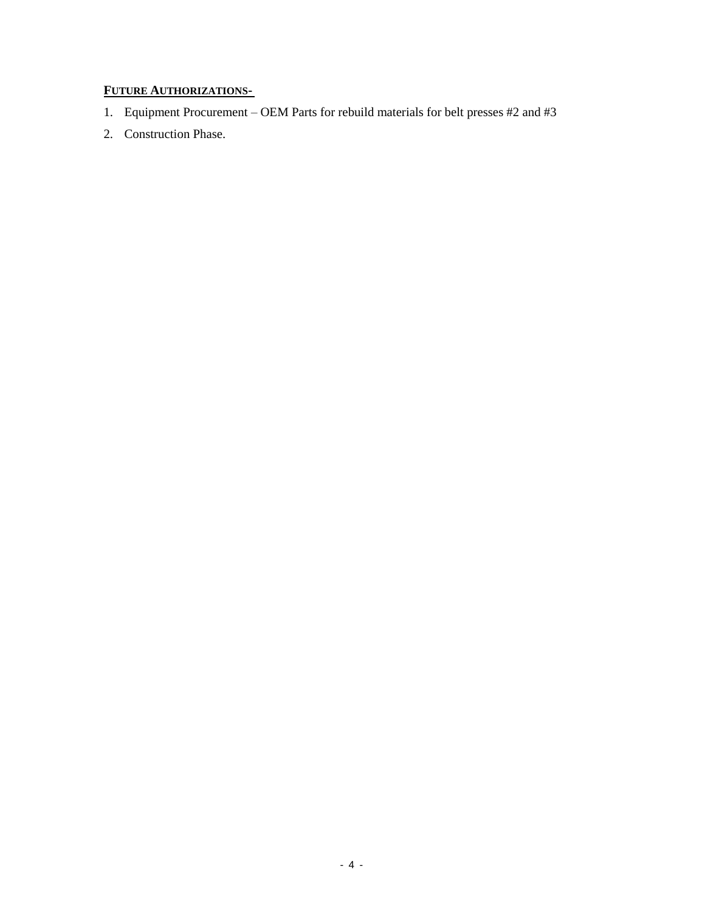# **FUTURE AUTHORIZATIONS-**

- 1. Equipment Procurement OEM Parts for rebuild materials for belt presses #2 and #3
- 2. Construction Phase.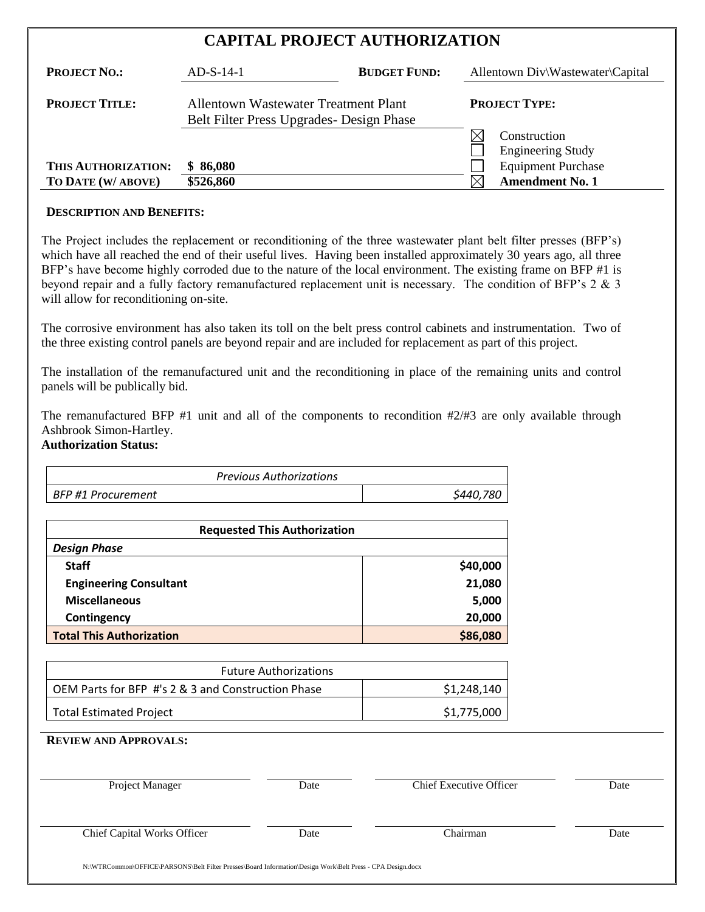# **CAPITAL PROJECT AUTHORIZATION**

| <b>PROJECT NO.:</b>   | $AD-S-14-1$                                                                              | <b>BUDGET FUND:</b> |    | Allentown Div\Wastewater\Capital         |
|-----------------------|------------------------------------------------------------------------------------------|---------------------|----|------------------------------------------|
| <b>PROJECT TITLE:</b> | <b>Allentown Wastewater Treatment Plant</b><br>Belt Filter Press Upgrades - Design Phase |                     |    | <b>PROJECT TYPE:</b>                     |
|                       |                                                                                          |                     | IX | Construction<br><b>Engineering Study</b> |
| THIS AUTHORIZATION:   | \$86,080                                                                                 |                     |    | <b>Equipment Purchase</b>                |
| TO DATE (W/ ABOVE)    | \$526,860                                                                                |                     | IX | <b>Amendment No. 1</b>                   |

#### **DESCRIPTION AND BENEFITS:**

The Project includes the replacement or reconditioning of the three wastewater plant belt filter presses (BFP's) which have all reached the end of their useful lives. Having been installed approximately 30 years ago, all three BFP's have become highly corroded due to the nature of the local environment. The existing frame on BFP #1 is beyond repair and a fully factory remanufactured replacement unit is necessary. The condition of BFP's 2 & 3 will allow for reconditioning on-site.

The corrosive environment has also taken its toll on the belt press control cabinets and instrumentation. Two of the three existing control panels are beyond repair and are included for replacement as part of this project.

The installation of the remanufactured unit and the reconditioning in place of the remaining units and control panels will be publically bid.

The remanufactured BFP #1 unit and all of the components to recondition #2/#3 are only available through Ashbrook Simon-Hartley.

## **Authorization Status:**

| <b>Previous Authorizations</b> |           |
|--------------------------------|-----------|
| BFP #1 Procurement             | \$440,780 |

| <b>Requested This Authorization</b> |          |
|-------------------------------------|----------|
| <b>Design Phase</b>                 |          |
| <b>Staff</b>                        | \$40,000 |
| <b>Engineering Consultant</b>       | 21,080   |
| <b>Miscellaneous</b>                | 5,000    |
| Contingency                         | 20,000   |
| <b>Total This Authorization</b>     | \$86,080 |

| <b>Future Authorizations</b>                       |             |
|----------------------------------------------------|-------------|
| OEM Parts for BFP #'s 2 & 3 and Construction Phase | \$1,248,140 |
| Total Estimated Project                            | \$1,775,000 |

**REVIEW AND APPROVALS:**

| Project Manager                    | Date | <b>Chief Executive Officer</b> | Date |
|------------------------------------|------|--------------------------------|------|
| <b>Chief Capital Works Officer</b> | Date | Chairman                       | Date |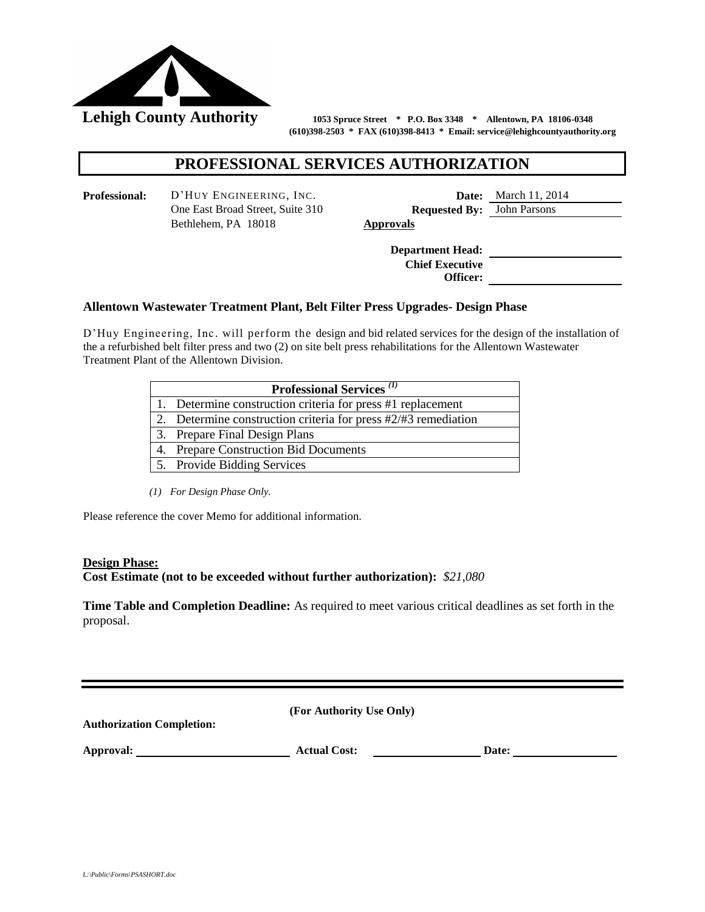

 **(610)398-2503 \* FAX (610)398-8413 \* Email: service@lehighcountyauthority.org**

## **PROFESSIONAL SERVICES AUTHORIZATION**

**Professional:** D'HUY ENGINEERING, INC. **Date:** March 11, 2014 Bethlehem, PA 18018 **Approvals**

One East Broad Street, Suite 310 **Requested By:** John Parsons

**Department Head: Chief Executive Officer:**

#### **Allentown Wastewater Treatment Plant, Belt Filter Press Upgrades- Design Phase**

D'Huy Engineering, Inc. will perform the design and bid related services for the design of the installation of the a refurbished belt filter press and two (2) on site belt press rehabilitations for the Allentown Wastewater Treatment Plant of the Allentown Division.

| <b>Professional Services</b> <sup>(1)</sup>                        |  |  |
|--------------------------------------------------------------------|--|--|
| 1. Determine construction criteria for press #1 replacement        |  |  |
| 2. Determine construction criteria for press $\#2/\#3$ remediation |  |  |
| 3. Prepare Final Design Plans                                      |  |  |
| 4. Prepare Construction Bid Documents                              |  |  |
| 5. Provide Bidding Services                                        |  |  |

*(1) For Design Phase Only.* 

Please reference the cover Memo for additional information.

#### **Design Phase:**

**Cost Estimate (not to be exceeded without further authorization):** *\$21,080*

**Time Table and Completion Deadline:** As required to meet various critical deadlines as set forth in the proposal.

| <b>Authorization Completion:</b> | (For Authority Use Only) |       |
|----------------------------------|--------------------------|-------|
| Approval:                        | <b>Actual Cost:</b>      | Date: |